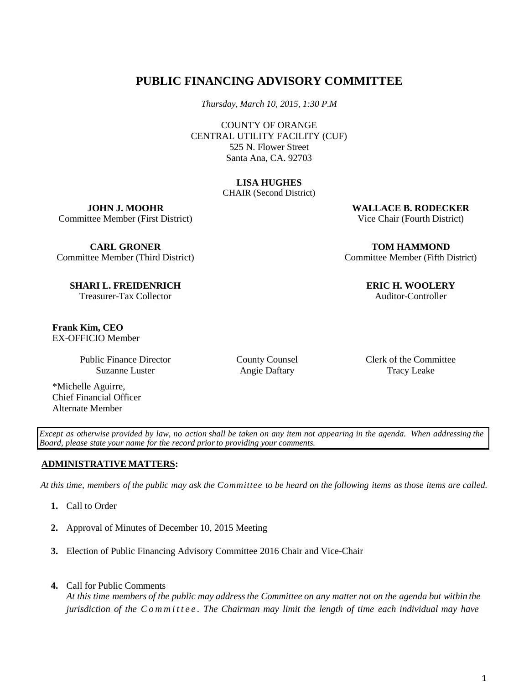# **PUBLIC FINANCING ADVISORY COMMITTEE**

*Thursday, March 10, 2015, 1:30 P.M*

COUNTY OF ORANGE CENTRAL UTILITY FACILITY (CUF) 525 N. Flower Street Santa Ana, CA. 92703

#### **LISA HUGHES**

CHAIR (Second District)

**JOHN J. MOOHR** Committee Member (First District)

**CARL GRONER** Committee Member (Third District)

**SHARI L. FREIDENRICH** Treasurer-Tax Collector

**Frank Kim, CEO** EX-OFFICIO Member

> Public Finance Director Suzanne Luster

\*Michelle Aguirre, Chief Financial Officer Alternate Member

Committee Member (Fifth District)

**ERIC H. WOOLERY** Auditor-Controller

**WALLACE B. RODECKER** Vice Chair (Fourth District)

**TOM HAMMOND**

County Counsel Angie Daftary

Clerk of the Committee Tracy Leake

Except as otherwise provided by law, no action shall be taken on any item not appearing in the agenda. When addressing the *Board, please state your name for the record priorto providing your comments.*

### **ADMINISTRATIVE MATTERS:**

At this time, members of the public may ask the Committee to be heard on the following items as those items are called.

- **1.** Call to Order
- **2.** Approval of Minutes of December 10, 2015 Meeting
- **3.** Election of Public Financing Advisory Committee 2016 Chair and Vice-Chair
- **4.** Call for Public Comments

At this time members of the public may address the Committee on any matter not on the agenda but within the *jurisdiction of the Committee. The Chairman may limit the length of time each individual may have*

1